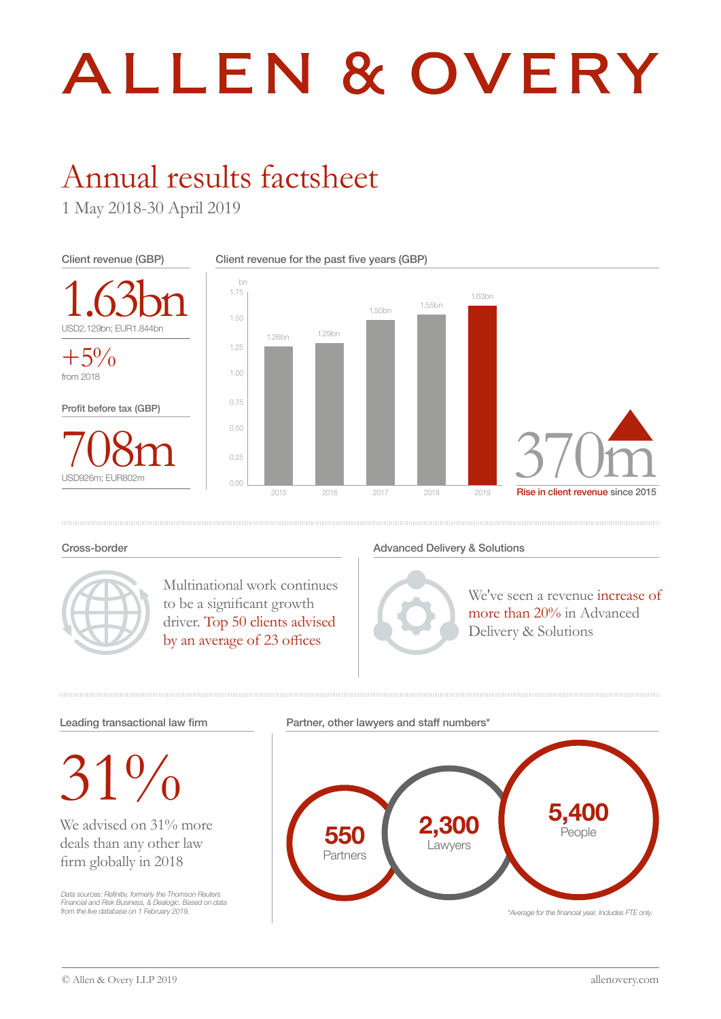# ALLEN & OVERY

## Annual results factsheet

1 May 2018-30 April 2019



#### Cross-border



Multinational work continues to be a significant growth driver. Top 50 clients advised by an average of 23 offices

#### Advanced Delivery & Solutions



We've seen a revenue increase of more than 20% in Advanced Delivery & Solutions



 $31\%$ 

We advised on 31% more deals than any other law firm globally in 2018

Data sources: Refinitiv, formerly the Thomson Reuters Financial and Risk Business, & Dealogic. Based on data from the live database on 1 February 2019. Partner, other lawyers and staff numbers<sup>\*</sup>